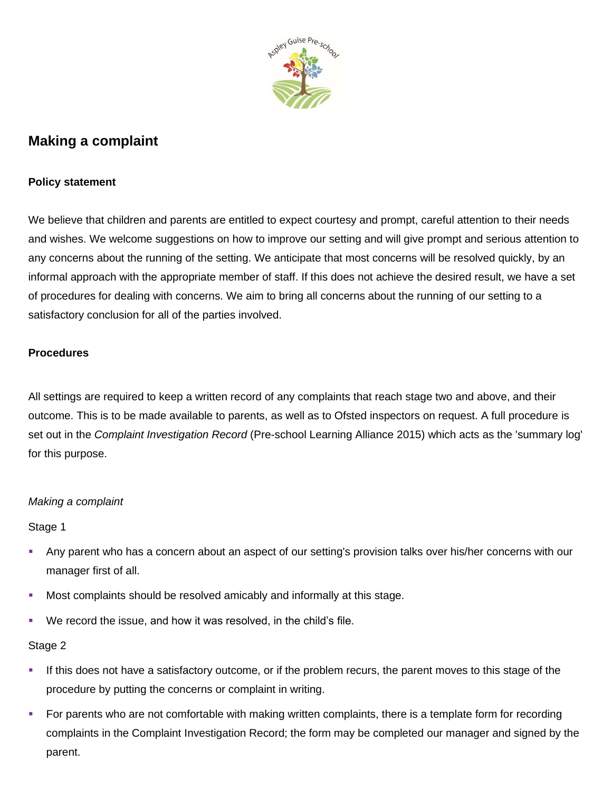

# **Making a complaint**

### **Policy statement**

We believe that children and parents are entitled to expect courtesy and prompt, careful attention to their needs and wishes. We welcome suggestions on how to improve our setting and will give prompt and serious attention to any concerns about the running of the setting. We anticipate that most concerns will be resolved quickly, by an informal approach with the appropriate member of staff. If this does not achieve the desired result, we have a set of procedures for dealing with concerns. We aim to bring all concerns about the running of our setting to a satisfactory conclusion for all of the parties involved.

#### **Procedures**

All settings are required to keep a written record of any complaints that reach stage two and above, and their outcome. This is to be made available to parents, as well as to Ofsted inspectors on request. A full procedure is set out in the *Complaint Investigation Record* (Pre-school Learning Alliance 2015) which acts as the 'summary log' for this purpose.

# *Making a complaint*

Stage 1

- Any parent who has a concern about an aspect of our setting's provision talks over his/her concerns with our manager first of all.
- **Most complaints should be resolved amicably and informally at this stage.**
- We record the issue, and how it was resolved, in the child's file.

# Stage 2

- **.** If this does not have a satisfactory outcome, or if the problem recurs, the parent moves to this stage of the procedure by putting the concerns or complaint in writing.
- For parents who are not comfortable with making written complaints, there is a template form for recording complaints in the Complaint Investigation Record; the form may be completed our manager and signed by the parent.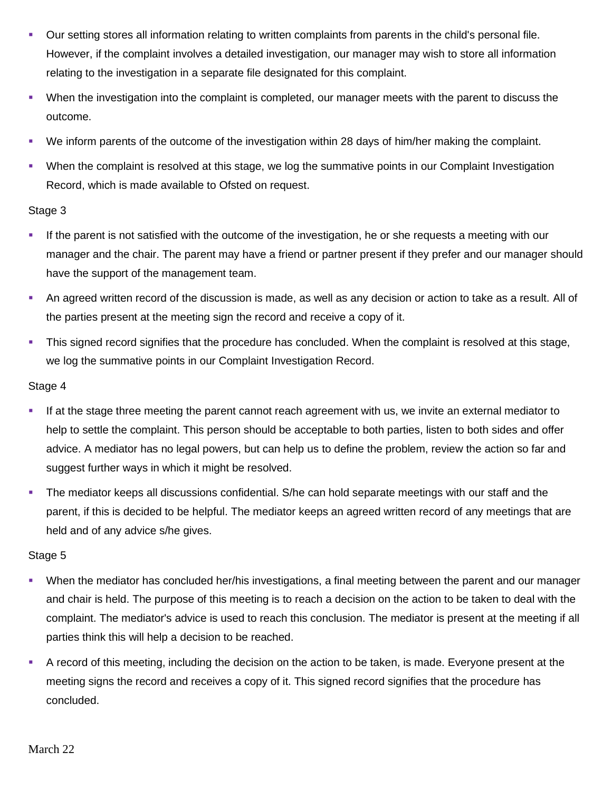- Our setting stores all information relating to written complaints from parents in the child's personal file. However, if the complaint involves a detailed investigation, our manager may wish to store all information relating to the investigation in a separate file designated for this complaint.
- When the investigation into the complaint is completed, our manager meets with the parent to discuss the outcome.
- We inform parents of the outcome of the investigation within 28 days of him/her making the complaint.
- When the complaint is resolved at this stage, we log the summative points in our Complaint Investigation Record, which is made available to Ofsted on request.

#### Stage 3

- **.** If the parent is not satisfied with the outcome of the investigation, he or she requests a meeting with our manager and the chair. The parent may have a friend or partner present if they prefer and our manager should have the support of the management team.
- An agreed written record of the discussion is made, as well as any decision or action to take as a result. All of the parties present at the meeting sign the record and receive a copy of it.
- **This signed record signifies that the procedure has concluded. When the complaint is resolved at this stage,** we log the summative points in our Complaint Investigation Record.

#### Stage 4

- **.** If at the stage three meeting the parent cannot reach agreement with us, we invite an external mediator to help to settle the complaint. This person should be acceptable to both parties, listen to both sides and offer advice. A mediator has no legal powers, but can help us to define the problem, review the action so far and suggest further ways in which it might be resolved.
- **•** The mediator keeps all discussions confidential. S/he can hold separate meetings with our staff and the parent, if this is decided to be helpful. The mediator keeps an agreed written record of any meetings that are held and of any advice s/he gives.

# Stage 5

- When the mediator has concluded her/his investigations, a final meeting between the parent and our manager and chair is held. The purpose of this meeting is to reach a decision on the action to be taken to deal with the complaint. The mediator's advice is used to reach this conclusion. The mediator is present at the meeting if all parties think this will help a decision to be reached.
- A record of this meeting, including the decision on the action to be taken, is made. Everyone present at the meeting signs the record and receives a copy of it. This signed record signifies that the procedure has concluded.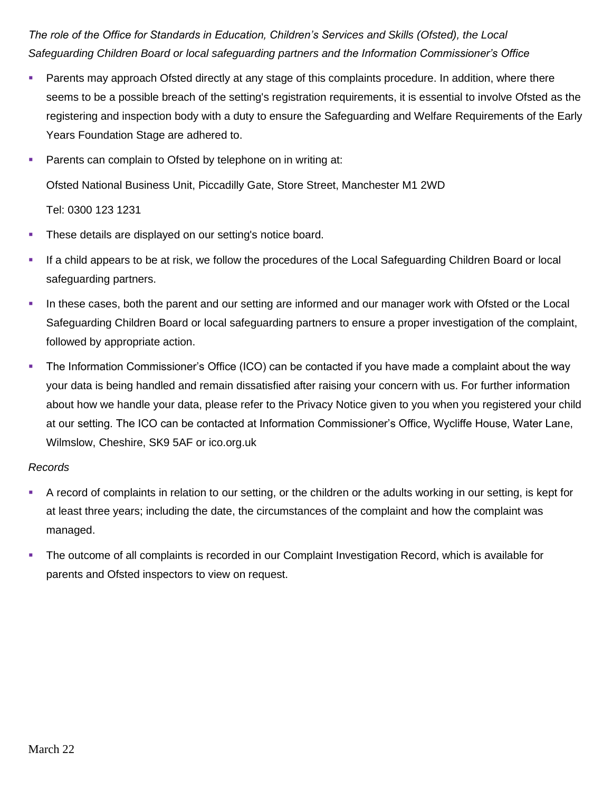*The role of the Office for Standards in Education, Children's Services and Skills (Ofsted), the Local Safeguarding Children Board or local safeguarding partners and the Information Commissioner's Office*

- **EXECT** Parents may approach Ofsted directly at any stage of this complaints procedure. In addition, where there seems to be a possible breach of the setting's registration requirements, it is essential to involve Ofsted as the registering and inspection body with a duty to ensure the Safeguarding and Welfare Requirements of the Early Years Foundation Stage are adhered to.
- **Parents can complain to Ofsted by telephone on in writing at:** Ofsted National Business Unit, Piccadilly Gate, Store Street, Manchester M1 2WD Tel: 0300 123 1231
- **These details are displayed on our setting's notice board.**
- If a child appears to be at risk, we follow the procedures of the Local Safeguarding Children Board or local safeguarding partners.
- In these cases, both the parent and our setting are informed and our manager work with Ofsted or the Local Safeguarding Children Board or local safeguarding partners to ensure a proper investigation of the complaint, followed by appropriate action.
- The Information Commissioner's Office (ICO) can be contacted if you have made a complaint about the way your data is being handled and remain dissatisfied after raising your concern with us. For further information about how we handle your data, please refer to the Privacy Notice given to you when you registered your child at our setting. The ICO can be contacted at Information Commissioner's Office, Wycliffe House, Water Lane, Wilmslow, Cheshire, SK9 5AF or ico.org.uk

#### *Records*

- A record of complaints in relation to our setting, or the children or the adults working in our setting, is kept for at least three years; including the date, the circumstances of the complaint and how the complaint was managed.
- **•** The outcome of all complaints is recorded in our Complaint Investigation Record, which is available for parents and Ofsted inspectors to view on request.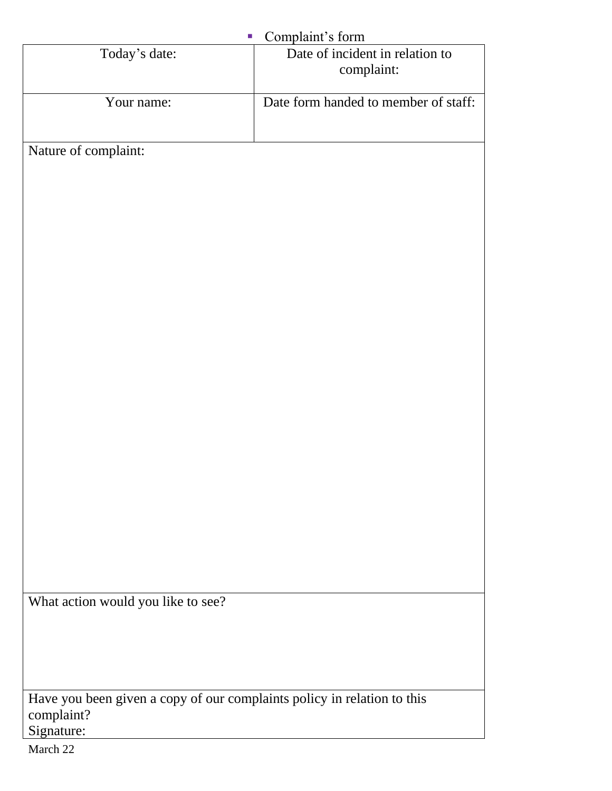| Complaint's form<br>$\mathcal{C}$                                       |                                               |
|-------------------------------------------------------------------------|-----------------------------------------------|
| Today's date:                                                           | Date of incident in relation to<br>complaint: |
| Your name:                                                              | Date form handed to member of staff:          |
| Nature of complaint:                                                    |                                               |
|                                                                         |                                               |
|                                                                         |                                               |
|                                                                         |                                               |
|                                                                         |                                               |
|                                                                         |                                               |
|                                                                         |                                               |
|                                                                         |                                               |
|                                                                         |                                               |
|                                                                         |                                               |
|                                                                         |                                               |
|                                                                         |                                               |
|                                                                         |                                               |
|                                                                         |                                               |
|                                                                         |                                               |
|                                                                         |                                               |
| What action would you like to see?                                      |                                               |
|                                                                         |                                               |
|                                                                         |                                               |
| Have you been given a copy of our complaints policy in relation to this |                                               |
| complaint?<br>Signature:                                                |                                               |
| March 22                                                                |                                               |